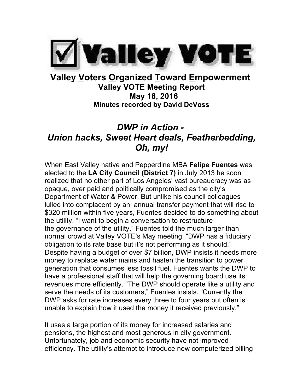

## **Valley Voters Organized Toward Empowerment Valley VOTE Meeting Report May 18, 2016 Minutes recorded by David DeVoss**

# *DWP in Action - Union hacks, Sweet Heart deals, Featherbedding, Oh, my!*

When East Valley native and Pepperdine MBA **Felipe Fuentes** was elected to the **LA City Council (District 7)** in July 2013 he soon realized that no other part of Los Angeles' vast bureaucracy was as opaque, over paid and politically compromised as the city's Department of Water & Power. But unlike his council colleagues lulled into complacent by an annual transfer payment that will rise to \$320 million within five years, Fuentes decided to do something about the utility. "I want to begin a conversation to restructure the governance of the utility," Fuentes told the much larger than normal crowd at Valley VOTE's May meeting. "DWP has a fiduciary obligation to its rate base but it's not performing as it should." Despite having a budget of over \$7 billion, DWP insists it needs more money to replace water mains and hasten the transition to power generation that consumes less fossil fuel. Fuentes wants the DWP to have a professional staff that will help the governing board use its revenues more efficiently. "The DWP should operate like a utility and serve the needs of its customers," Fuentes insists. "Currently the DWP asks for rate increases every three to four years but often is unable to explain how it used the money it received previously."

It uses a large portion of its money for increased salaries and pensions, the highest and most generous in city government. Unfortunately, job and economic security have not improved efficiency. The utility's attempt to introduce new computerized billing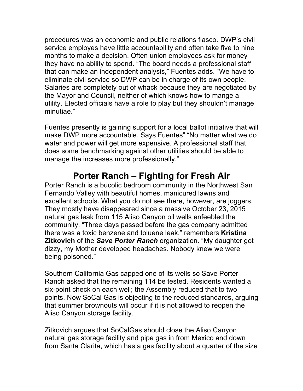procedures was an economic and public relations fiasco. DWP's civil service employes have little accountability and often take five to nine months to make a decision. Often union employees ask for money they have no ability to spend. "The board needs a professional staff that can make an independent analysis," Fuentes adds. "We have to eliminate civil service so DWP can be in charge of its own people. Salaries are completely out of whack because they are negotiated by the Mayor and Council, neither of which knows how to mange a utility. Elected officials have a role to play but they shouldn't manage minutiae."

Fuentes presently is gaining support for a local ballot initiative that will make DWP more accountable. Says Fuentes" "No matter what we do water and power will get more expensive. A professional staff that does some benchmarking against other utilities should be able to manage the increases more professionally."

## **Porter Ranch – Fighting for Fresh Air**

Porter Ranch is a bucolic bedroom community in the Northwest San Fernando Valley with beautiful homes, manicured lawns and excellent schools. What you do not see there, however, are joggers. They mostly have disappeared since a massive October 23, 2015 natural gas leak from 115 Aliso Canyon oil wells enfeebled the community. "Three days passed before the gas company admitted there was a toxic benzene and toluene leak," remembers **Kristina Zitkovich** of the *Save Porter Ranch* organization. "My daughter got dizzy, my Mother developed headaches. Nobody knew we were being poisoned."

Southern California Gas capped one of its wells so Save Porter Ranch asked that the remaining 114 be tested. Residents wanted a six-point check on each well; the Assembly reduced that to two points. Now SoCal Gas is objecting to the reduced standards, arguing that summer brownouts will occur if it is not allowed to reopen the Aliso Canyon storage facility.

Zitkovich argues that SoCalGas should close the Aliso Canyon natural gas storage facility and pipe gas in from Mexico and down from Santa Clarita, which has a gas facility about a quarter of the size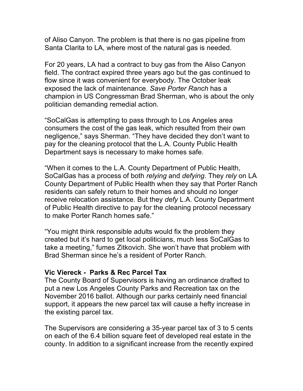of Aliso Canyon. The problem is that there is no gas pipeline from Santa Clarita to LA, where most of the natural gas is needed.

For 20 years, LA had a contract to buy gas from the Aliso Canyon field. The contract expired three years ago but the gas continued to flow since it was convenient for everybody. The October leak exposed the lack of maintenance. *Save Porter Ranch* has a champion in US Congressman Brad Sherman, who is about the only politician demanding remedial action.

"SoCalGas is attempting to pass through to Los Angeles area consumers the cost of the gas leak, which resulted from their own negligence," says Sherman. "They have decided they don't want to pay for the cleaning protocol that the L.A. County Public Health Department says is necessary to make homes safe.

"When it comes to the L.A. County Department of Public Health, SoCalGas has a process of both *relying* and *defying*. They *rely* on LA County Department of Public Health when they say that Porter Ranch residents can safely return to their homes and should no longer receive relocation assistance. But they *defy* L.A. County Department of Public Health directive to pay for the cleaning protocol necessary to make Porter Ranch homes safe."

"You might think responsible adults would fix the problem they created but it's hard to get local politicians, much less SoCalGas to take a meeting," fumes Zitkovich. She won't have that problem with Brad Sherman since he's a resident of Porter Ranch.

#### **Vic Viereck - Parks & Rec Parcel Tax**

The County Board of Supervisors is having an ordinance drafted to put a new Los Angeles County Parks and Recreation tax on the November 2016 ballot. Although our parks certainly need financial support, it appears the new parcel tax will cause a hefty increase in the existing parcel tax.

The Supervisors are considering a 35-year parcel tax of 3 to 5 cents on each of the 6.4 billion square feet of developed real estate in the county. In addition to a significant increase from the recently expired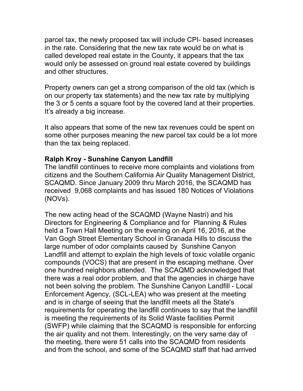parcel tax, the newly proposed tax will include CPI- based increases in the rate. Considering that the new tax rate would be on what is called developed real estate in the County, it appears that the tax would only be assessed on ground real estate covered by buildings and other structures.

Property owners can get a strong comparison of the old tax (which is on our property tax statements) and the new tax rate by multiplying the 3 or 5 cents a square foot by the covered land at their properties. It's already a big increase.

It also appears that some of the new tax revenues could be spent on some other purposes meaning the new parcel tax could be a lot more than the tax being replaced.

#### **Ralph Kroy - Sunshine Canyon Landfill**

The landfill continues to receive more complaints and violations from citizens and the Southern California Air Quality Management District, SCAQMD. Since January 2009 thru March 2016, the SCAQMD has received 9,068 complaints and has issued 180 Notices of Violations (NOVs).

The new acting head of the SCAQMD (Wayne Nastri) and his Directors for Engineering & Compliance and for Planning & Rules held a Town Hall Meeting on the evening on April 16, 2016, at the Van Gogh Street Elementary School in Granada Hills to discuss the large number of odor complaints caused by Sunshine Canyon Landfill and attempt to explain the high levels of toxic volatile organic compounds (VOCS) that are present in the escaping methane. Over one hundred neighbors attended. The SCAQMD acknowledged that there was a real odor problem, and that the agencies in charge have not been solving the problem. The Sunshine Canyon Landfill - Local Enforcement Agency, (SCL-LEA) who was present at the meeting and is in charge of seeing that the landfill meets all the State's requirements for operating the landfill continues to say that the landfill is meeting the requirements of its Solid Waste facilities Permit (SWFP) while claiming that the SCAQMD is responsible for enforcing the air quality and not them. Interestingly, on the very same day of the meeting, there were 51 calls into the SCAQMD from residents and from the school, and some of the SCAQMD staff that had arrived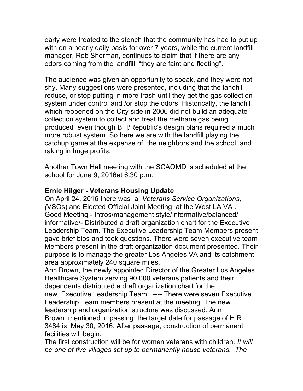early were treated to the stench that the community has had to put up with on a nearly daily basis for over 7 years, while the current landfill manager, Rob Sherman, continues to claim that if there are any odors coming from the landfill "they are faint and fleeting".

The audience was given an opportunity to speak, and they were not shy. Many suggestions were presented, including that the landfill reduce, or stop putting in more trash until they get the gas collection system under control and /or stop the odors. Historically, the landfill which reopened on the City side in 2006 did not build an adequate collection system to collect and treat the methane gas being produced even though BFI/Republic's design plans required a much more robust system. So here we are with the landfill playing the catchup game at the expense of the neighbors and the school, and raking in huge profits.

Another Town Hall meeting with the SCAQMD is scheduled at the school for June 9, 2016at 6:30 p.m.

#### **Ernie Hilger - Veterans Housing Update**

On April 24, 2016 there was a *Veterans Service Organizations, (*VSOs) and Elected Official Joint Meeting at the West LA VA . Good Meeting - Intros/management style/Informative/balanced/ informative/- Distributed a draft organization chart for the Executive Leadership Team. The Executive Leadership Team Members present gave brief bios and took questions. There were seven executive team Members present in the draft organization document presented. Their purpose is to manage the greater Los Angeles VA and its catchment area approximately 240 square miles.

Ann Brown, the newly appointed Director of the Greater Los Angeles Healthcare System serving 90,000 veterans patients and their dependents distributed a draft organization chart for the new Executive Leadership Team. ---- There were seven Executive Leadership Team members present at the meeting. The new leadership and organization structure was discussed. Ann Brown mentioned in passing the target date for passage of H.R. 3484 is May 30, 2016. After passage, construction of permanent facilities will begin.

The first construction will be for women veterans with children. *It will be one of five villages set up to permanently house veterans. The*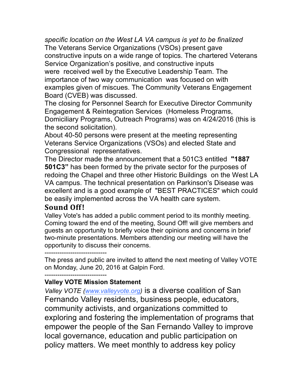*specific location on the West LA VA campus is yet to be finalized* The Veterans Service Organizations (VSOs) present gave constructive inputs on a wide range of topics. The chartered Veterans Service Organization's positive, and constructive inputs were received well by the Executive Leadership Team. The importance of two way communication was focused on with examples given of miscues. The Community Veterans Engagement Board (CVEB) was discussed.

The closing for Personnel Search for Executive Director Community Engagement & Reintegration Services (Homeless Programs, Domiciliary Programs, Outreach Programs) was on 4/24/2016 (this is the second solicitation).

About 40-50 persons were present at the meeting representing Veterans Service Organizations (VSOs) and elected State and Congressional representatives.

The Director made the announcement that a 501C3 entitled **"1887 501C3"** has been formed by the private sector for the purposes of redoing the Chapel and three other Historic Buildings on the West LA VA campus. The technical presentation on Parkinson's Disease was excellent and is a good example of "BEST PRACTICES" which could be easily implemented across the VA health care system.

### **Sound Off !**

Valley Vote's has added a public comment period to its monthly meeting. Coming toward the end of the meeting, Sound Off! will give members and guests an opportunity to briefly voice their opinions and concerns in brief two-minute presentations. Members attending our meeting will have the opportunity to discuss their concerns.

-----------------------------

The press and public are invited to attend the next meeting of Valley VOTE on Monday, June 20, 2016 at Galpin Ford.

-----------------------------

### **Valley VOTE Mission Statement**

*Valley VOTE (www.valleyvote.org)* is a diverse coalition of San Fernando Valley residents, business people, educators, community activists, and organizations committed to exploring and fostering the implementation of programs that empower the people of the San Fernando Valley to improve local governance, education and public participation on policy matters. We meet monthly to address key policy